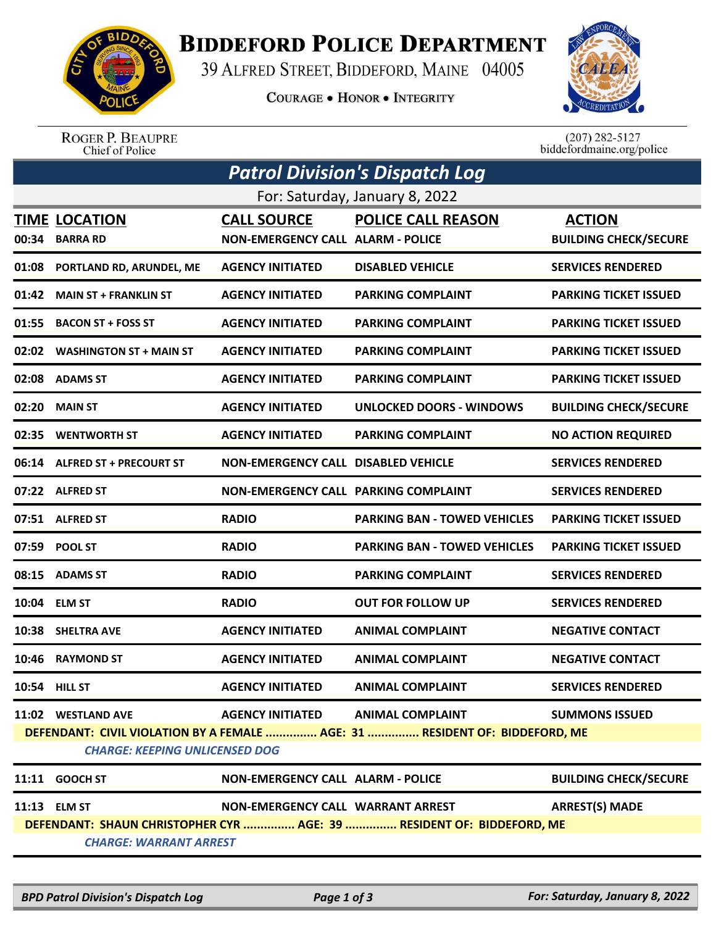

## **BIDDEFORD POLICE DEPARTMENT**

39 ALFRED STREET, BIDDEFORD, MAINE 04005

**COURAGE . HONOR . INTEGRITY** 



ROGER P. BEAUPRE<br>Chief of Police

 $(207)$  282-5127<br>biddefordmaine.org/police

| <b>Patrol Division's Dispatch Log</b>                                                                                |                               |                                             |                                     |                              |  |  |  |
|----------------------------------------------------------------------------------------------------------------------|-------------------------------|---------------------------------------------|-------------------------------------|------------------------------|--|--|--|
| For: Saturday, January 8, 2022                                                                                       |                               |                                             |                                     |                              |  |  |  |
|                                                                                                                      | <b>TIME LOCATION</b>          | <b>CALL SOURCE</b>                          | <b>POLICE CALL REASON</b>           | <b>ACTION</b>                |  |  |  |
| 00:34                                                                                                                | <b>BARRA RD</b>               | <b>NON-EMERGENCY CALL ALARM - POLICE</b>    |                                     | <b>BUILDING CHECK/SECURE</b> |  |  |  |
| 01:08                                                                                                                | PORTLAND RD, ARUNDEL, ME      | <b>AGENCY INITIATED</b>                     | <b>DISABLED VEHICLE</b>             | <b>SERVICES RENDERED</b>     |  |  |  |
| 01:42                                                                                                                | <b>MAIN ST + FRANKLIN ST</b>  | <b>AGENCY INITIATED</b>                     | <b>PARKING COMPLAINT</b>            | <b>PARKING TICKET ISSUED</b> |  |  |  |
|                                                                                                                      | 01:55 BACON ST + FOSS ST      | <b>AGENCY INITIATED</b>                     | <b>PARKING COMPLAINT</b>            | <b>PARKING TICKET ISSUED</b> |  |  |  |
|                                                                                                                      | 02:02 WASHINGTON ST + MAIN ST | <b>AGENCY INITIATED</b>                     | <b>PARKING COMPLAINT</b>            | <b>PARKING TICKET ISSUED</b> |  |  |  |
|                                                                                                                      | 02:08 ADAMS ST                | <b>AGENCY INITIATED</b>                     | <b>PARKING COMPLAINT</b>            | <b>PARKING TICKET ISSUED</b> |  |  |  |
|                                                                                                                      | 02:20 MAIN ST                 | <b>AGENCY INITIATED</b>                     | UNLOCKED DOORS - WINDOWS            | <b>BUILDING CHECK/SECURE</b> |  |  |  |
|                                                                                                                      | 02:35 WENTWORTH ST            | <b>AGENCY INITIATED</b>                     | <b>PARKING COMPLAINT</b>            | <b>NO ACTION REQUIRED</b>    |  |  |  |
|                                                                                                                      | 06:14 ALFRED ST + PRECOURT ST | <b>NON-EMERGENCY CALL DISABLED VEHICLE</b>  |                                     | <b>SERVICES RENDERED</b>     |  |  |  |
|                                                                                                                      | 07:22 ALFRED ST               | <b>NON-EMERGENCY CALL PARKING COMPLAINT</b> |                                     | <b>SERVICES RENDERED</b>     |  |  |  |
|                                                                                                                      | 07:51 ALFRED ST               | <b>RADIO</b>                                | <b>PARKING BAN - TOWED VEHICLES</b> | <b>PARKING TICKET ISSUED</b> |  |  |  |
|                                                                                                                      | 07:59 POOL ST                 | <b>RADIO</b>                                | <b>PARKING BAN - TOWED VEHICLES</b> | <b>PARKING TICKET ISSUED</b> |  |  |  |
|                                                                                                                      | 08:15 ADAMS ST                | <b>RADIO</b>                                | <b>PARKING COMPLAINT</b>            | <b>SERVICES RENDERED</b>     |  |  |  |
|                                                                                                                      | 10:04 ELM ST                  | <b>RADIO</b>                                | <b>OUT FOR FOLLOW UP</b>            | <b>SERVICES RENDERED</b>     |  |  |  |
| 10:38                                                                                                                | <b>SHELTRA AVE</b>            | <b>AGENCY INITIATED</b>                     | <b>ANIMAL COMPLAINT</b>             | <b>NEGATIVE CONTACT</b>      |  |  |  |
| 10:46                                                                                                                | <b>RAYMOND ST</b>             | <b>AGENCY INITIATED</b>                     | <b>ANIMAL COMPLAINT</b>             | <b>NEGATIVE CONTACT</b>      |  |  |  |
|                                                                                                                      | <b>10:54 HILL ST</b>          | <b>AGENCY INITIATED</b>                     | ANIMAL COMPLAINT                    | <b>SERVICES RENDERED</b>     |  |  |  |
|                                                                                                                      | 11:02 WESTLAND AVE            | AGENCY INITIATED ANIMAL COMPLAINT           |                                     | <b>SUMMONS ISSUED</b>        |  |  |  |
| DEFENDANT: CIVIL VIOLATION BY A FEMALE  AGE: 31  RESIDENT OF: BIDDEFORD, ME<br><b>CHARGE: KEEPING UNLICENSED DOG</b> |                               |                                             |                                     |                              |  |  |  |
|                                                                                                                      | 11:11 GOOCH ST                | <b>NON-EMERGENCY CALL ALARM - POLICE</b>    |                                     | <b>BUILDING CHECK/SECURE</b> |  |  |  |
|                                                                                                                      | 11:13 ELM ST                  | NON-EMERGENCY CALL WARRANT ARREST           |                                     | <b>ARREST(S) MADE</b>        |  |  |  |
| DEFENDANT: SHAUN CHRISTOPHER CYR  AGE: 39  RESIDENT OF: BIDDEFORD, ME                                                |                               |                                             |                                     |                              |  |  |  |
| <b>CHARGE: WARRANT ARREST</b>                                                                                        |                               |                                             |                                     |                              |  |  |  |
|                                                                                                                      |                               |                                             |                                     |                              |  |  |  |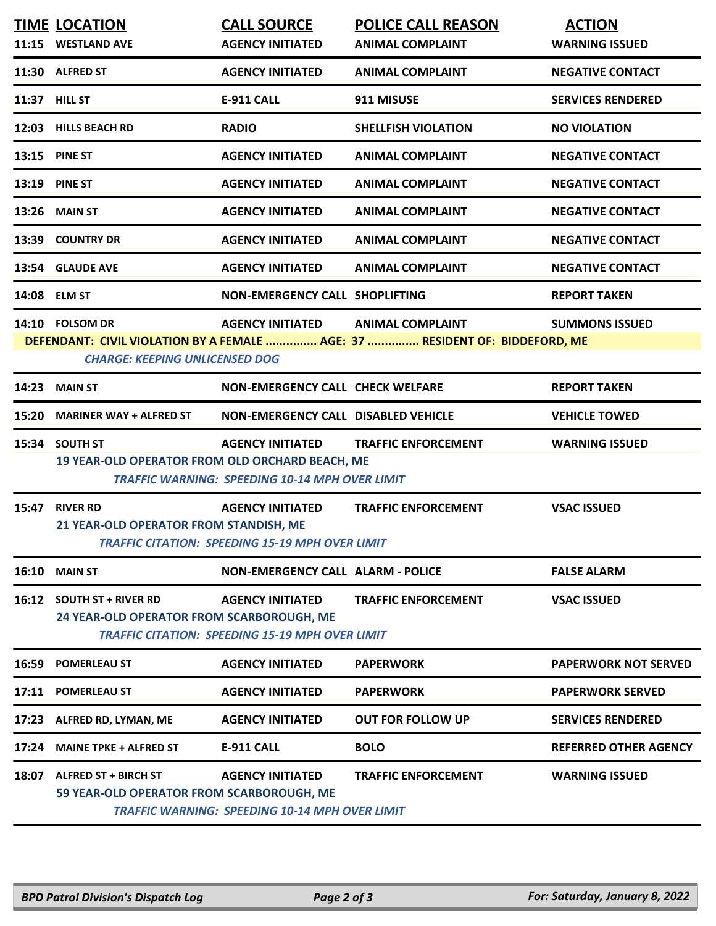|                                                                                                                      | <b>TIME LOCATION</b>                                                                                     | <b>CALL SOURCE</b>                                     | <b>POLICE CALL REASON</b>  | <b>ACTION</b>                |  |  |  |
|----------------------------------------------------------------------------------------------------------------------|----------------------------------------------------------------------------------------------------------|--------------------------------------------------------|----------------------------|------------------------------|--|--|--|
|                                                                                                                      | 11:15 WESTLAND AVE                                                                                       | <b>AGENCY INITIATED</b>                                | <b>ANIMAL COMPLAINT</b>    | <b>WARNING ISSUED</b>        |  |  |  |
|                                                                                                                      | 11:30 ALFRED ST                                                                                          | <b>AGENCY INITIATED</b>                                | <b>ANIMAL COMPLAINT</b>    | <b>NEGATIVE CONTACT</b>      |  |  |  |
| 11:37 HILL ST                                                                                                        |                                                                                                          | <b>E-911 CALL</b>                                      | 911 MISUSE                 | <b>SERVICES RENDERED</b>     |  |  |  |
|                                                                                                                      | 12:03 HILLS BEACH RD                                                                                     | <b>RADIO</b>                                           | <b>SHELLFISH VIOLATION</b> | <b>NO VIOLATION</b>          |  |  |  |
|                                                                                                                      | <b>13:15 PINE ST</b>                                                                                     | <b>AGENCY INITIATED</b>                                | <b>ANIMAL COMPLAINT</b>    | <b>NEGATIVE CONTACT</b>      |  |  |  |
|                                                                                                                      | <b>13:19 PINE ST</b>                                                                                     | <b>AGENCY INITIATED</b>                                | <b>ANIMAL COMPLAINT</b>    | <b>NEGATIVE CONTACT</b>      |  |  |  |
| 13:26                                                                                                                | <b>MAIN ST</b>                                                                                           | <b>AGENCY INITIATED</b>                                | <b>ANIMAL COMPLAINT</b>    | <b>NEGATIVE CONTACT</b>      |  |  |  |
|                                                                                                                      | 13:39 COUNTRY DR                                                                                         | <b>AGENCY INITIATED</b>                                | <b>ANIMAL COMPLAINT</b>    | <b>NEGATIVE CONTACT</b>      |  |  |  |
|                                                                                                                      | 13:54 GLAUDE AVE                                                                                         | <b>AGENCY INITIATED</b>                                | <b>ANIMAL COMPLAINT</b>    | <b>NEGATIVE CONTACT</b>      |  |  |  |
|                                                                                                                      | 14:08 ELM ST                                                                                             | <b>NON-EMERGENCY CALL SHOPLIFTING</b>                  |                            | <b>REPORT TAKEN</b>          |  |  |  |
|                                                                                                                      | 14:10 FOLSOM DR                                                                                          | <b>AGENCY INITIATED</b>                                | <b>ANIMAL COMPLAINT</b>    | <b>SUMMONS ISSUED</b>        |  |  |  |
| DEFENDANT: CIVIL VIOLATION BY A FEMALE  AGE: 37  RESIDENT OF: BIDDEFORD, ME<br><b>CHARGE: KEEPING UNLICENSED DOG</b> |                                                                                                          |                                                        |                            |                              |  |  |  |
|                                                                                                                      | <b>14:23 MAIN ST</b>                                                                                     | <b>NON-EMERGENCY CALL CHECK WELFARE</b>                |                            | <b>REPORT TAKEN</b>          |  |  |  |
| 15:20                                                                                                                | <b>MARINER WAY + ALFRED ST</b>                                                                           | NON-EMERGENCY CALL DISABLED VEHICLE                    |                            | <b>VEHICLE TOWED</b>         |  |  |  |
|                                                                                                                      | 15:34 SOUTH ST                                                                                           | <b>AGENCY INITIATED</b>                                | <b>TRAFFIC ENFORCEMENT</b> | <b>WARNING ISSUED</b>        |  |  |  |
|                                                                                                                      | 19 YEAR-OLD OPERATOR FROM OLD ORCHARD BEACH, ME<br><b>TRAFFIC WARNING: SPEEDING 10-14 MPH OVER LIMIT</b> |                                                        |                            |                              |  |  |  |
| 15:47                                                                                                                | <b>RIVER RD</b>                                                                                          | <b>AGENCY INITIATED</b>                                | <b>TRAFFIC ENFORCEMENT</b> | <b>VSAC ISSUED</b>           |  |  |  |
|                                                                                                                      | 21 YEAR-OLD OPERATOR FROM STANDISH, ME<br><b>TRAFFIC CITATION: SPEEDING 15-19 MPH OVER LIMIT</b>         |                                                        |                            |                              |  |  |  |
| 16:10                                                                                                                | <b>MAIN ST</b>                                                                                           | <b>NON-EMERGENCY CALL ALARM - POLICE</b>               |                            | <b>FALSE ALARM</b>           |  |  |  |
| 16:12                                                                                                                | <b>SOUTH ST + RIVER RD</b>                                                                               | <b>AGENCY INITIATED</b>                                | <b>TRAFFIC ENFORCEMENT</b> | <b>VSAC ISSUED</b>           |  |  |  |
|                                                                                                                      | 24 YEAR-OLD OPERATOR FROM SCARBOROUGH, ME                                                                | <b>TRAFFIC CITATION: SPEEDING 15-19 MPH OVER LIMIT</b> |                            |                              |  |  |  |
| 16:59                                                                                                                | <b>POMERLEAU ST</b>                                                                                      | <b>AGENCY INITIATED</b>                                | <b>PAPERWORK</b>           | <b>PAPERWORK NOT SERVED</b>  |  |  |  |
| 17:11                                                                                                                | <b>POMERLEAU ST</b>                                                                                      | <b>AGENCY INITIATED</b>                                |                            | <b>PAPERWORK SERVED</b>      |  |  |  |
|                                                                                                                      |                                                                                                          |                                                        | <b>PAPERWORK</b>           |                              |  |  |  |
| 17:23                                                                                                                | ALFRED RD, LYMAN, ME                                                                                     | <b>AGENCY INITIATED</b>                                | <b>OUT FOR FOLLOW UP</b>   | <b>SERVICES RENDERED</b>     |  |  |  |
| 17:24                                                                                                                | <b>MAINE TPKE + ALFRED ST</b>                                                                            | <b>E-911 CALL</b>                                      | <b>BOLO</b>                | <b>REFERRED OTHER AGENCY</b> |  |  |  |
| 18:07                                                                                                                | <b>ALFRED ST + BIRCH ST</b>                                                                              | <b>AGENCY INITIATED</b>                                | <b>TRAFFIC ENFORCEMENT</b> | <b>WARNING ISSUED</b>        |  |  |  |
|                                                                                                                      | 59 YEAR-OLD OPERATOR FROM SCARBOROUGH, ME                                                                | <b>TRAFFIC WARNING: SPEEDING 10-14 MPH OVER LIMIT</b>  |                            |                              |  |  |  |